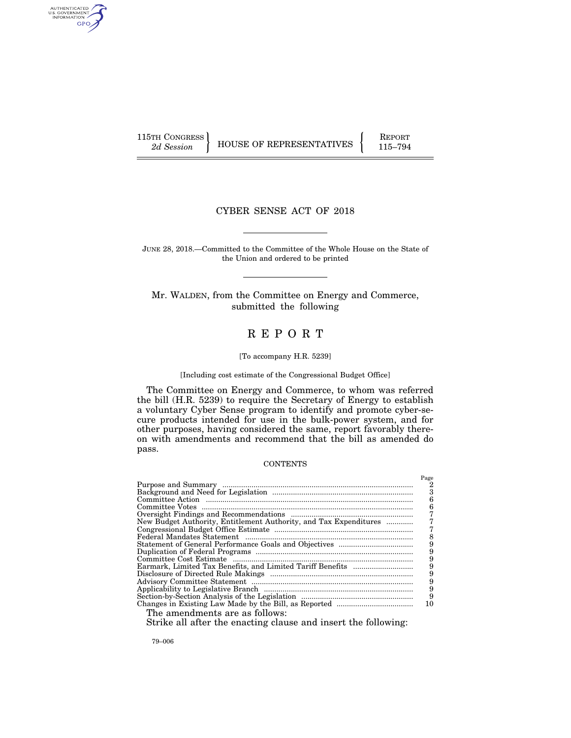AUTHENTICATED<br>U.S. GOVERNMENT<br>INFORMATION GPO

115TH CONGRESS HOUSE OF REPRESENTATIVES FEPORT 115–794

# CYBER SENSE ACT OF 2018

JUNE 28, 2018.—Committed to the Committee of the Whole House on the State of the Union and ordered to be printed

Mr. WALDEN, from the Committee on Energy and Commerce, submitted the following

# R E P O R T

#### [To accompany H.R. 5239]

# [Including cost estimate of the Congressional Budget Office]

The Committee on Energy and Commerce, to whom was referred the bill (H.R. 5239) to require the Secretary of Energy to establish a voluntary Cyber Sense program to identify and promote cyber-secure products intended for use in the bulk-power system, and for other purposes, having considered the same, report favorably thereon with amendments and recommend that the bill as amended do pass.

# **CONTENTS**

|                                                                                                      | Page |
|------------------------------------------------------------------------------------------------------|------|
|                                                                                                      | 2    |
|                                                                                                      |      |
|                                                                                                      | 6    |
|                                                                                                      | 6    |
|                                                                                                      |      |
| New Budget Authority, Entitlement Authority, and Tax Expenditures                                    |      |
|                                                                                                      |      |
|                                                                                                      |      |
|                                                                                                      |      |
|                                                                                                      |      |
|                                                                                                      |      |
|                                                                                                      | 9    |
|                                                                                                      | 9    |
|                                                                                                      |      |
|                                                                                                      | 9    |
|                                                                                                      | 9    |
|                                                                                                      | 10   |
| The amendments are as follows:                                                                       |      |
| $\alpha$ , it is in the contract of $\alpha$ in the contract of $\alpha$ in the contract of $\alpha$ |      |

Strike all after the enacting clause and insert the following:

79–006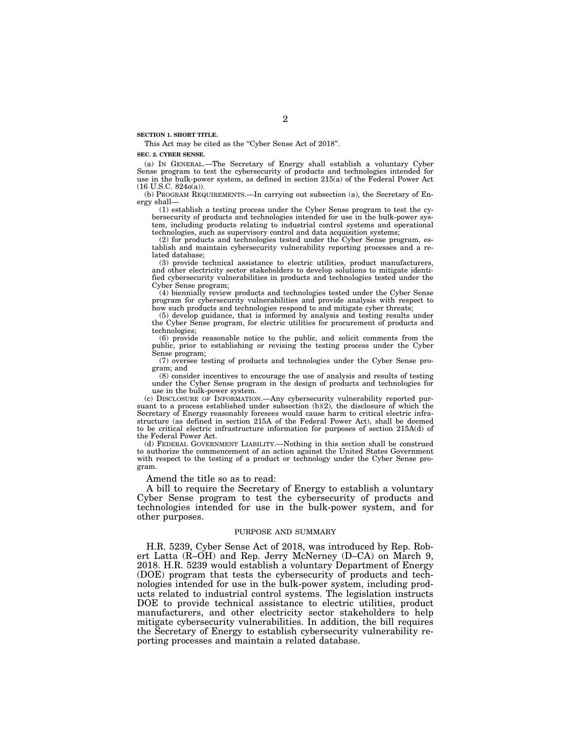**SECTION 1. SHORT TITLE.** 

This Act may be cited as the "Cyber Sense Act of 2018".

#### **SEC. 2. CYBER SENSE.**

(a) IN GENERAL.—The Secretary of Energy shall establish a voluntary Cyber Sense program to test the cybersecurity of products and technologies intended for use in the bulk-power system, as defined in section 215(a) of the Federal Power Act  $(16$  U.S.C.  $824o(a)$ ).

(b) PROGRAM REQUIREMENTS.—In carrying out subsection (a), the Secretary of Energy shall—

(1) establish a testing process under the Cyber Sense program to test the cybersecurity of products and technologies intended for use in the bulk-power system, including products relating to industrial control systems and operational technologies, such as supervisory control and data acquisition systems;

(2) for products and technologies tested under the Cyber Sense program, establish and maintain cybersecurity vulnerability reporting processes and a related database;

(3) provide technical assistance to electric utilities, product manufacturers, and other electricity sector stakeholders to develop solutions to mitigate identified cybersecurity vulnerabilities in products and technologies tested under the Cyber Sense program;

(4) biennially review products and technologies tested under the Cyber Sense program for cybersecurity vulnerabilities and provide analysis with respect to how such products and technologies respond to and mitigate cyber threats;

(5) develop guidance, that is informed by analysis and testing results under the Cyber Sense program, for electric utilities for procurement of products and technologies;

(6) provide reasonable notice to the public, and solicit comments from the public, prior to establishing or revising the testing process under the Cyber Sense program;

(7) oversee testing of products and technologies under the Cyber Sense program; and

(8) consider incentives to encourage the use of analysis and results of testing under the Cyber Sense program in the design of products and technologies for use in the bulk-power system.

(c) DISCLOSURE OF INFORMATION.—Any cybersecurity vulnerability reported pursuant to a process established under subsection  $(b)(2)$ , the disclosure of which the Secretary of Energy reasonably foresees would cause harm to critical electric infrastructure (as defined in section 215A of the Federal Power Act), shall be deemed to be critical electric infrastructure information for purposes of section 215A(d) of the Federal Power Act.

(d) FEDERAL GOVERNMENT LIABILITY.—Nothing in this section shall be construed to authorize the commencement of an action against the United States Government with respect to the testing of a product or technology under the Cyber Sense program.

Amend the title so as to read:

A bill to require the Secretary of Energy to establish a voluntary Cyber Sense program to test the cybersecurity of products and technologies intended for use in the bulk-power system, and for other purposes.

### PURPOSE AND SUMMARY

H.R. 5239, Cyber Sense Act of 2018, was introduced by Rep. Robert Latta (R–OH) and Rep. Jerry McNerney (D–CA) on March 9, 2018. H.R. 5239 would establish a voluntary Department of Energy (DOE) program that tests the cybersecurity of products and technologies intended for use in the bulk-power system, including products related to industrial control systems. The legislation instructs DOE to provide technical assistance to electric utilities, product manufacturers, and other electricity sector stakeholders to help mitigate cybersecurity vulnerabilities. In addition, the bill requires the Secretary of Energy to establish cybersecurity vulnerability reporting processes and maintain a related database.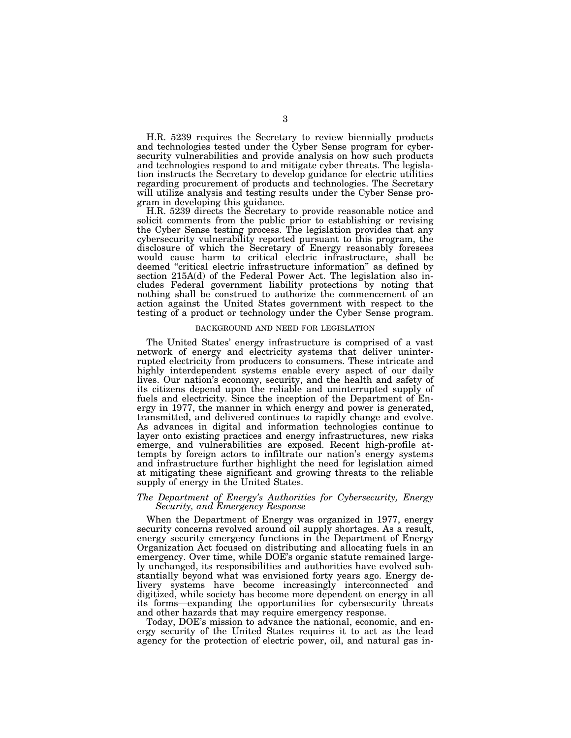H.R. 5239 requires the Secretary to review biennially products and technologies tested under the Cyber Sense program for cybersecurity vulnerabilities and provide analysis on how such products and technologies respond to and mitigate cyber threats. The legislation instructs the Secretary to develop guidance for electric utilities regarding procurement of products and technologies. The Secretary will utilize analysis and testing results under the Cyber Sense program in developing this guidance.

H.R. 5239 directs the Secretary to provide reasonable notice and solicit comments from the public prior to establishing or revising the Cyber Sense testing process. The legislation provides that any cybersecurity vulnerability reported pursuant to this program, the disclosure of which the Secretary of Energy reasonably foresees would cause harm to critical electric infrastructure, shall be deemed ''critical electric infrastructure information'' as defined by section 215A(d) of the Federal Power Act. The legislation also includes Federal government liability protections by noting that nothing shall be construed to authorize the commencement of an action against the United States government with respect to the testing of a product or technology under the Cyber Sense program.

### BACKGROUND AND NEED FOR LEGISLATION

The United States' energy infrastructure is comprised of a vast network of energy and electricity systems that deliver uninterrupted electricity from producers to consumers. These intricate and highly interdependent systems enable every aspect of our daily lives. Our nation's economy, security, and the health and safety of its citizens depend upon the reliable and uninterrupted supply of fuels and electricity. Since the inception of the Department of Energy in 1977, the manner in which energy and power is generated, transmitted, and delivered continues to rapidly change and evolve. As advances in digital and information technologies continue to layer onto existing practices and energy infrastructures, new risks emerge, and vulnerabilities are exposed. Recent high-profile attempts by foreign actors to infiltrate our nation's energy systems and infrastructure further highlight the need for legislation aimed at mitigating these significant and growing threats to the reliable supply of energy in the United States.

# *The Department of Energy's Authorities for Cybersecurity, Energy Security, and Emergency Response*

When the Department of Energy was organized in 1977, energy security concerns revolved around oil supply shortages. As a result, energy security emergency functions in the Department of Energy Organization Act focused on distributing and allocating fuels in an emergency. Over time, while DOE's organic statute remained largely unchanged, its responsibilities and authorities have evolved substantially beyond what was envisioned forty years ago. Energy delivery systems have become increasingly interconnected and digitized, while society has become more dependent on energy in all its forms—expanding the opportunities for cybersecurity threats and other hazards that may require emergency response.

Today, DOE's mission to advance the national, economic, and energy security of the United States requires it to act as the lead agency for the protection of electric power, oil, and natural gas in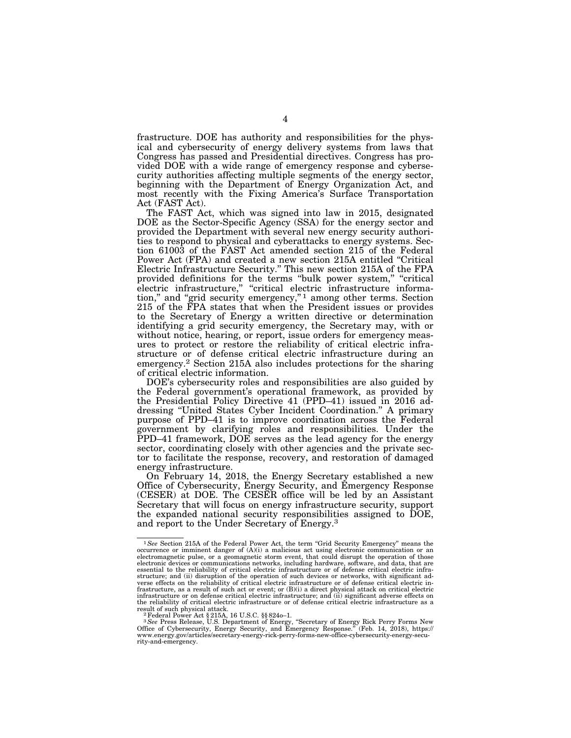frastructure. DOE has authority and responsibilities for the physical and cybersecurity of energy delivery systems from laws that Congress has passed and Presidential directives. Congress has provided DOE with a wide range of emergency response and cybersecurity authorities affecting multiple segments of the energy sector, beginning with the Department of Energy Organization Act, and most recently with the Fixing America's Surface Transportation Act (FAST Act).

The FAST Act, which was signed into law in 2015, designated DOE as the Sector-Specific Agency (SSA) for the energy sector and provided the Department with several new energy security authorities to respond to physical and cyberattacks to energy systems. Section 61003 of the FAST Act amended section 215 of the Federal Power Act (FPA) and created a new section 215A entitled "Critical Electric Infrastructure Security.'' This new section 215A of the FPA provided definitions for the terms "bulk power system," "critical electric infrastructure," "critical electric infrastructure information," and "grid security emergency,"<sup>1</sup> among other terms. Section 215 of the FPA states that when the President issues or provides to the Secretary of Energy a written directive or determination identifying a grid security emergency, the Secretary may, with or without notice, hearing, or report, issue orders for emergency measures to protect or restore the reliability of critical electric infrastructure or of defense critical electric infrastructure during an emergency.2 Section 215A also includes protections for the sharing of critical electric information.

DOE's cybersecurity roles and responsibilities are also guided by the Federal government's operational framework, as provided by the Presidential Policy Directive 41 (PPD–41) issued in 2016 addressing ''United States Cyber Incident Coordination.'' A primary purpose of PPD–41 is to improve coordination across the Federal government by clarifying roles and responsibilities. Under the PPD–41 framework, DOE serves as the lead agency for the energy sector, coordinating closely with other agencies and the private sector to facilitate the response, recovery, and restoration of damaged energy infrastructure.

On February 14, 2018, the Energy Secretary established a new Office of Cybersecurity, Energy Security, and Emergency Response (CESER) at DOE. The CESER office will be led by an Assistant Secretary that will focus on energy infrastructure security, support the expanded national security responsibilities assigned to DOE, and report to the Under Secretary of Energy.3

<sup>&</sup>lt;sup>1</sup>See Section 215A of the Federal Power Act, the term "Grid Security Emergency" means the occurrence or imminent danger of (A)(i) a malicious act using electronic communication or an<br>electromagnetic pulse, or a geomagnetic storm event, that could disrupt the operation of those<br>electronic devices or communicatio essential to the reliability of critical electric infrastructure or of defense critical electric infrastructure; and (ii) disruption of the operation of such devices or networks, with significant ad-verse effects on the reliability of critical electric infrastructure or of defense critical electric infrastructure, as a result of such act or event; or (B)(i) a direct physical attack on critical electric infrastructure or on defense critical electric infrastructure; and (ii) significant adverse effects on the reliability of critical electric infrastructure or of defense critical electric infrastructure as a<br>result of such physical attack.<br> $\frac{2 \text{ Eddron}}{2 \text{ Eddron}}$  Poince Ast 8315A, 16 U.S.C. SS, 9240, 1

result of such physical attack.<br><sup>2</sup> Federal Power Act §215A, 16 U.S.C. §§ 824o–1.<br><sup>3</sup> *See* Press Release, U.S. Department of Energy, "Secretary of Energy Rick Perry Forms New<br>Office of Cybersecurity, Energy Security, and rity-and-emergency.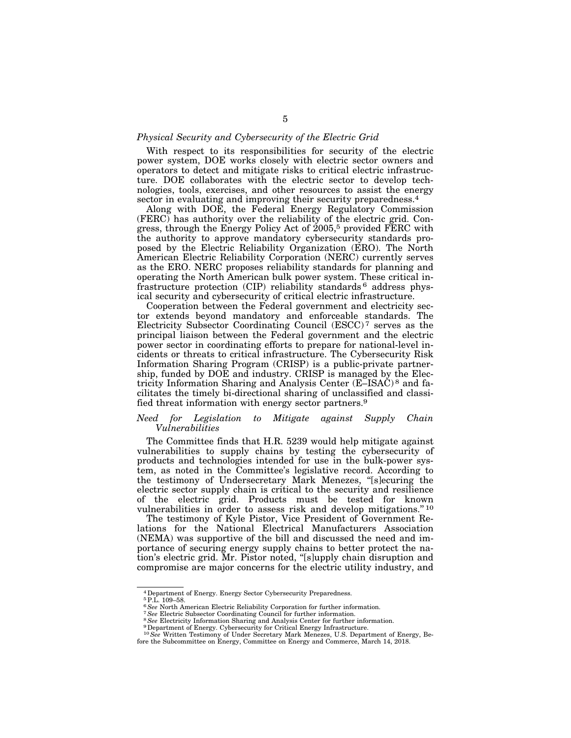### *Physical Security and Cybersecurity of the Electric Grid*

With respect to its responsibilities for security of the electric power system, DOE works closely with electric sector owners and operators to detect and mitigate risks to critical electric infrastructure. DOE collaborates with the electric sector to develop technologies, tools, exercises, and other resources to assist the energy sector in evaluating and improving their security preparedness.<sup>4</sup>

Along with DOE, the Federal Energy Regulatory Commission (FERC) has authority over the reliability of the electric grid. Congress, through the Energy Policy Act of 2005,5 provided FERC with the authority to approve mandatory cybersecurity standards proposed by the Electric Reliability Organization (ERO). The North American Electric Reliability Corporation (NERC) currently serves as the ERO. NERC proposes reliability standards for planning and operating the North American bulk power system. These critical infrastructure protection (CIP) reliability standards 6 address physical security and cybersecurity of critical electric infrastructure.

Cooperation between the Federal government and electricity sector extends beyond mandatory and enforceable standards. The Electricity Subsector Coordinating Council (ESCC) 7 serves as the principal liaison between the Federal government and the electric power sector in coordinating efforts to prepare for national-level incidents or threats to critical infrastructure. The Cybersecurity Risk Information Sharing Program (CRISP) is a public-private partnership, funded by DOE and industry. CRISP is managed by the Electricity Information Sharing and Analysis Center (E–ISAC) 8 and facilitates the timely bi-directional sharing of unclassified and classified threat information with energy sector partners.9

# *Need for Legislation to Mitigate against Supply Chain Vulnerabilities*

The Committee finds that H.R. 5239 would help mitigate against vulnerabilities to supply chains by testing the cybersecurity of products and technologies intended for use in the bulk-power system, as noted in the Committee's legislative record. According to the testimony of Undersecretary Mark Menezes, ''[s]ecuring the electric sector supply chain is critical to the security and resilience of the electric grid. Products must be tested for known vulnerabilities in order to assess risk and develop mitigations.'' 10

The testimony of Kyle Pistor, Vice President of Government Relations for the National Electrical Manufacturers Association (NEMA) was supportive of the bill and discussed the need and importance of securing energy supply chains to better protect the nation's electric grid. Mr. Pistor noted, ''[s]upply chain disruption and compromise are major concerns for the electric utility industry, and

<sup>4</sup>Department of Energy. Energy Sector Cybersecurity Preparedness.

<sup>&</sup>lt;sup>5</sup> P.L. 109–58.<br><sup>6</sup> See North American Electric Reliability Corporation for further information.

<sup>&</sup>lt;sup>7</sup> See Electric Subsector Coordinating Council for further information.<br><sup>8</sup> See Electricity Information Sharing and Analysis Center for further information.<br><sup>9</sup> Department of Energy. Cybersecurity for Critical Energy Inf

<sup>10</sup>*See* Written Testimony of Under Secretary Mark Menezes, U.S. Department of Energy, Before the Subcommittee on Energy, Committee on Energy and Commerce, March 14, 2018.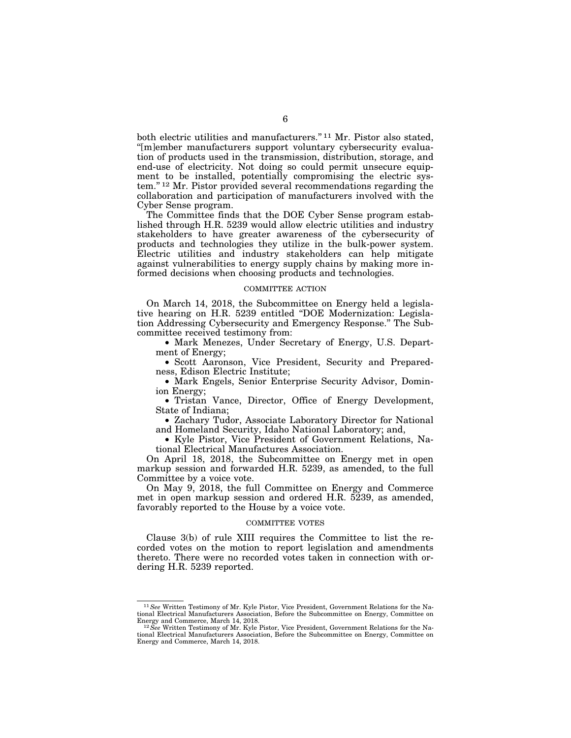both electric utilities and manufacturers."<sup>11</sup> Mr. Pistor also stated, ''[m]ember manufacturers support voluntary cybersecurity evaluation of products used in the transmission, distribution, storage, and end-use of electricity. Not doing so could permit unsecure equipment to be installed, potentially compromising the electric system.'' 12 Mr. Pistor provided several recommendations regarding the collaboration and participation of manufacturers involved with the Cyber Sense program.

The Committee finds that the DOE Cyber Sense program established through H.R. 5239 would allow electric utilities and industry stakeholders to have greater awareness of the cybersecurity of products and technologies they utilize in the bulk-power system. Electric utilities and industry stakeholders can help mitigate against vulnerabilities to energy supply chains by making more informed decisions when choosing products and technologies.

# COMMITTEE ACTION

On March 14, 2018, the Subcommittee on Energy held a legislative hearing on H.R. 5239 entitled ''DOE Modernization: Legislation Addressing Cybersecurity and Emergency Response.'' The Subcommittee received testimony from:

• Mark Menezes, Under Secretary of Energy, U.S. Department of Energy;

• Scott Aaronson, Vice President, Security and Preparedness, Edison Electric Institute;

• Mark Engels, Senior Enterprise Security Advisor, Dominion Energy;

• Tristan Vance, Director, Office of Energy Development, State of Indiana;

• Zachary Tudor, Associate Laboratory Director for National and Homeland Security, Idaho National Laboratory; and,

• Kyle Pistor, Vice President of Government Relations, National Electrical Manufactures Association.

On April 18, 2018, the Subcommittee on Energy met in open markup session and forwarded H.R. 5239, as amended, to the full Committee by a voice vote.

On May 9, 2018, the full Committee on Energy and Commerce met in open markup session and ordered H.R. 5239, as amended, favorably reported to the House by a voice vote.

# COMMITTEE VOTES

Clause 3(b) of rule XIII requires the Committee to list the recorded votes on the motion to report legislation and amendments thereto. There were no recorded votes taken in connection with ordering H.R. 5239 reported.

<sup>11</sup>*See* Written Testimony of Mr. Kyle Pistor, Vice President, Government Relations for the National Electrical Manufacturers Association, Before the Subcommittee on Energy, Committee on Energy and Commerce, March 14, 2018. 12*See* Written Testimony of Mr. Kyle Pistor, Vice President, Government Relations for the Na-

tional Electrical Manufacturers Association, Before the Subcommittee on Energy, Committee on Energy and Commerce, March 14, 2018.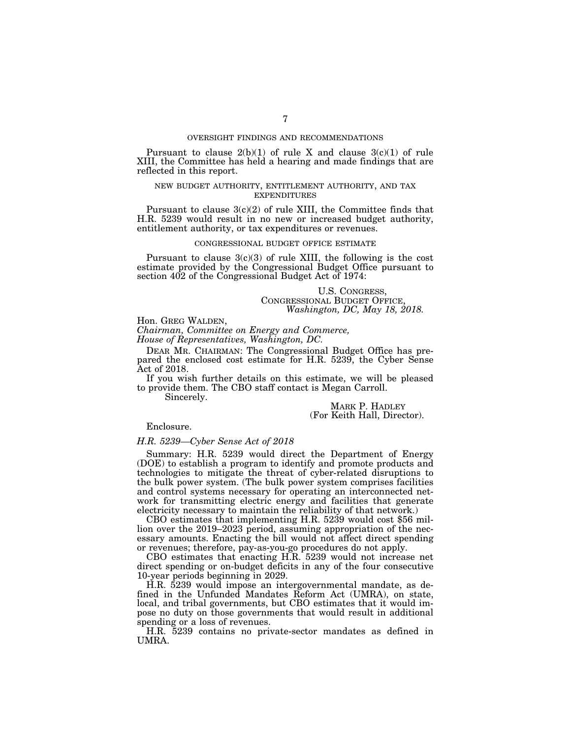# OVERSIGHT FINDINGS AND RECOMMENDATIONS

Pursuant to clause  $2(b)(1)$  of rule X and clause  $3(c)(1)$  of rule XIII, the Committee has held a hearing and made findings that are reflected in this report.

# NEW BUDGET AUTHORITY, ENTITLEMENT AUTHORITY, AND TAX EXPENDITURES

Pursuant to clause 3(c)(2) of rule XIII, the Committee finds that H.R. 5239 would result in no new or increased budget authority, entitlement authority, or tax expenditures or revenues.

#### CONGRESSIONAL BUDGET OFFICE ESTIMATE

Pursuant to clause  $3(c)(3)$  of rule XIII, the following is the cost estimate provided by the Congressional Budget Office pursuant to section 402 of the Congressional Budget Act of 1974:

U.S. CONGRESS, CONGRESSIONAL BUDGET OFFICE, *Washington, DC, May 18, 2018.* 

Hon. GREG WALDEN, *Chairman, Committee on Energy and Commerce,* 

*House of Representatives, Washington, DC.* 

DEAR MR. CHAIRMAN: The Congressional Budget Office has prepared the enclosed cost estimate for H.R. 5239, the Cyber Sense Act of 2018.

If you wish further details on this estimate, we will be pleased to provide them. The CBO staff contact is Megan Carroll.

Sincerely.

MARK P. HADLEY (For Keith Hall, Director).

Enclosure.

# *H.R. 5239—Cyber Sense Act of 2018*

Summary: H.R. 5239 would direct the Department of Energy (DOE) to establish a program to identify and promote products and technologies to mitigate the threat of cyber-related disruptions to the bulk power system. (The bulk power system comprises facilities and control systems necessary for operating an interconnected network for transmitting electric energy and facilities that generate electricity necessary to maintain the reliability of that network.)

CBO estimates that implementing H.R. 5239 would cost \$56 million over the 2019–2023 period, assuming appropriation of the necessary amounts. Enacting the bill would not affect direct spending or revenues; therefore, pay-as-you-go procedures do not apply.

CBO estimates that enacting H.R. 5239 would not increase net direct spending or on-budget deficits in any of the four consecutive 10-year periods beginning in 2029.

H.R. 5239 would impose an intergovernmental mandate, as defined in the Unfunded Mandates Reform Act (UMRA), on state, local, and tribal governments, but CBO estimates that it would impose no duty on those governments that would result in additional spending or a loss of revenues.

H.R. 5239 contains no private-sector mandates as defined in UMRA.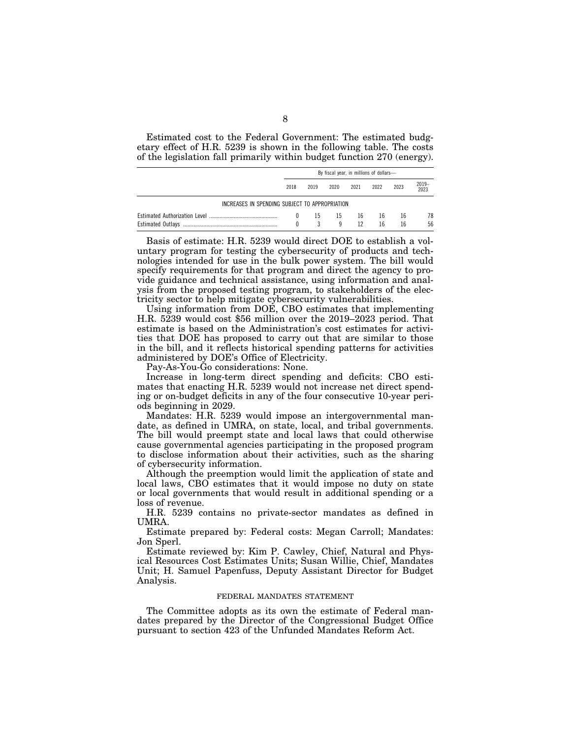Estimated cost to the Federal Government: The estimated budgetary effect of H.R. 5239 is shown in the following table. The costs of the legislation fall primarily within budget function 270 (energy).

|                                                | By fiscal year, in millions of dollars- |      |          |          |          |          |           |  |
|------------------------------------------------|-----------------------------------------|------|----------|----------|----------|----------|-----------|--|
|                                                | 2018                                    | 2019 | 2020     | 2021     | 2022     | 2023     | 2019-2023 |  |
| INCREASES IN SPENDING SUBJECT TO APPROPRIATION |                                         |      |          |          |          |          |           |  |
|                                                | $^{0}$                                  | -15  | -15<br>9 | 16<br>12 | 16<br>16 | 16<br>16 | 78<br>56  |  |

Basis of estimate: H.R. 5239 would direct DOE to establish a voluntary program for testing the cybersecurity of products and technologies intended for use in the bulk power system. The bill would specify requirements for that program and direct the agency to provide guidance and technical assistance, using information and analysis from the proposed testing program, to stakeholders of the electricity sector to help mitigate cybersecurity vulnerabilities.

Using information from DOE, CBO estimates that implementing H.R. 5239 would cost \$56 million over the 2019–2023 period. That estimate is based on the Administration's cost estimates for activities that DOE has proposed to carry out that are similar to those in the bill, and it reflects historical spending patterns for activities administered by DOE's Office of Electricity.

Pay-As-You-Go considerations: None.

Increase in long-term direct spending and deficits: CBO estimates that enacting H.R. 5239 would not increase net direct spending or on-budget deficits in any of the four consecutive 10-year periods beginning in 2029.

Mandates: H.R. 5239 would impose an intergovernmental mandate, as defined in UMRA, on state, local, and tribal governments. The bill would preempt state and local laws that could otherwise cause governmental agencies participating in the proposed program to disclose information about their activities, such as the sharing of cybersecurity information.

Although the preemption would limit the application of state and local laws, CBO estimates that it would impose no duty on state or local governments that would result in additional spending or a loss of revenue.

H.R. 5239 contains no private-sector mandates as defined in UMRA.

Estimate prepared by: Federal costs: Megan Carroll; Mandates: Jon Sperl.

Estimate reviewed by: Kim P. Cawley, Chief, Natural and Physical Resources Cost Estimates Units; Susan Willie, Chief, Mandates Unit; H. Samuel Papenfuss, Deputy Assistant Director for Budget Analysis.

# FEDERAL MANDATES STATEMENT

The Committee adopts as its own the estimate of Federal mandates prepared by the Director of the Congressional Budget Office pursuant to section 423 of the Unfunded Mandates Reform Act.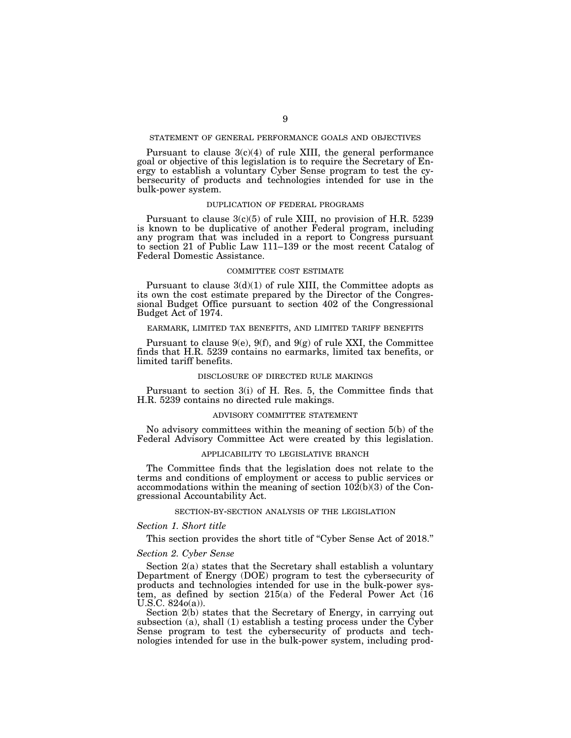### STATEMENT OF GENERAL PERFORMANCE GOALS AND OBJECTIVES

Pursuant to clause  $3(c)(4)$  of rule XIII, the general performance goal or objective of this legislation is to require the Secretary of Energy to establish a voluntary Cyber Sense program to test the cybersecurity of products and technologies intended for use in the bulk-power system.

### DUPLICATION OF FEDERAL PROGRAMS

Pursuant to clause 3(c)(5) of rule XIII, no provision of H.R. 5239 is known to be duplicative of another Federal program, including any program that was included in a report to Congress pursuant to section 21 of Public Law 111–139 or the most recent Catalog of Federal Domestic Assistance.

### COMMITTEE COST ESTIMATE

Pursuant to clause  $3(d)(1)$  of rule XIII, the Committee adopts as its own the cost estimate prepared by the Director of the Congressional Budget Office pursuant to section 402 of the Congressional Budget Act of 1974.

# EARMARK, LIMITED TAX BENEFITS, AND LIMITED TARIFF BENEFITS

Pursuant to clause  $9(e)$ ,  $9(f)$ , and  $9(g)$  of rule XXI, the Committee finds that H.R. 5239 contains no earmarks, limited tax benefits, or limited tariff benefits.

### DISCLOSURE OF DIRECTED RULE MAKINGS

Pursuant to section 3(i) of H. Res. 5, the Committee finds that H.R. 5239 contains no directed rule makings.

### ADVISORY COMMITTEE STATEMENT

No advisory committees within the meaning of section 5(b) of the Federal Advisory Committee Act were created by this legislation.

### APPLICABILITY TO LEGISLATIVE BRANCH

The Committee finds that the legislation does not relate to the terms and conditions of employment or access to public services or accommodations within the meaning of section  $102(b)(3)$  of the Congressional Accountability Act.

### SECTION-BY-SECTION ANALYSIS OF THE LEGISLATION

### *Section 1. Short title*

This section provides the short title of "Cyber Sense Act of 2018."

# *Section 2. Cyber Sense*

Section 2(a) states that the Secretary shall establish a voluntary Department of Energy (DOE) program to test the cybersecurity of products and technologies intended for use in the bulk-power system, as defined by section 215(a) of the Federal Power Act (16 U.S.C. 824o(a)).

Section 2(b) states that the Secretary of Energy, in carrying out subsection (a), shall (1) establish a testing process under the Cyber Sense program to test the cybersecurity of products and technologies intended for use in the bulk-power system, including prod